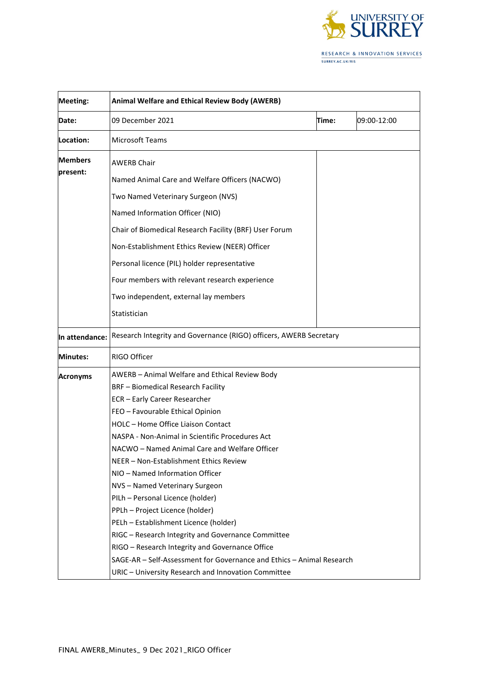

| <b>Meeting:</b>            | <b>Animal Welfare and Ethical Review Body (AWERB)</b>                 |       |             |  |  |
|----------------------------|-----------------------------------------------------------------------|-------|-------------|--|--|
| <b>Date:</b>               | 09 December 2021                                                      | Time: | 09:00-12:00 |  |  |
| Location:                  | <b>Microsoft Teams</b>                                                |       |             |  |  |
| <b>Members</b><br>present: | <b>AWERB Chair</b>                                                    |       |             |  |  |
|                            | Named Animal Care and Welfare Officers (NACWO)                        |       |             |  |  |
|                            | Two Named Veterinary Surgeon (NVS)                                    |       |             |  |  |
|                            | Named Information Officer (NIO)                                       |       |             |  |  |
|                            | Chair of Biomedical Research Facility (BRF) User Forum                |       |             |  |  |
|                            | Non-Establishment Ethics Review (NEER) Officer                        |       |             |  |  |
|                            | Personal licence (PIL) holder representative                          |       |             |  |  |
|                            | Four members with relevant research experience                        |       |             |  |  |
|                            | Two independent, external lay members                                 |       |             |  |  |
|                            | Statistician                                                          |       |             |  |  |
| In attendance:             | Research Integrity and Governance (RIGO) officers, AWERB Secretary    |       |             |  |  |
| <b>Minutes:</b>            | <b>RIGO Officer</b>                                                   |       |             |  |  |
| <b>Acronyms</b>            | AWERB - Animal Welfare and Ethical Review Body                        |       |             |  |  |
|                            | <b>BRF</b> - Biomedical Research Facility                             |       |             |  |  |
|                            | ECR - Early Career Researcher                                         |       |             |  |  |
|                            | FEO - Favourable Ethical Opinion                                      |       |             |  |  |
|                            | HOLC - Home Office Liaison Contact                                    |       |             |  |  |
|                            | NASPA - Non-Animal in Scientific Procedures Act                       |       |             |  |  |
|                            | NACWO - Named Animal Care and Welfare Officer                         |       |             |  |  |
|                            | NEER - Non-Establishment Ethics Review                                |       |             |  |  |
|                            | NIO - Named Information Officer                                       |       |             |  |  |
|                            | NVS-Named Veterinary Surgeon                                          |       |             |  |  |
|                            | PILh - Personal Licence (holder)                                      |       |             |  |  |
|                            | PPLh - Project Licence (holder)                                       |       |             |  |  |
|                            | PELh - Establishment Licence (holder)                                 |       |             |  |  |
|                            | RIGC - Research Integrity and Governance Committee                    |       |             |  |  |
|                            | RIGO - Research Integrity and Governance Office                       |       |             |  |  |
|                            | SAGE-AR - Self-Assessment for Governance and Ethics - Animal Research |       |             |  |  |
|                            | URIC - University Research and Innovation Committee                   |       |             |  |  |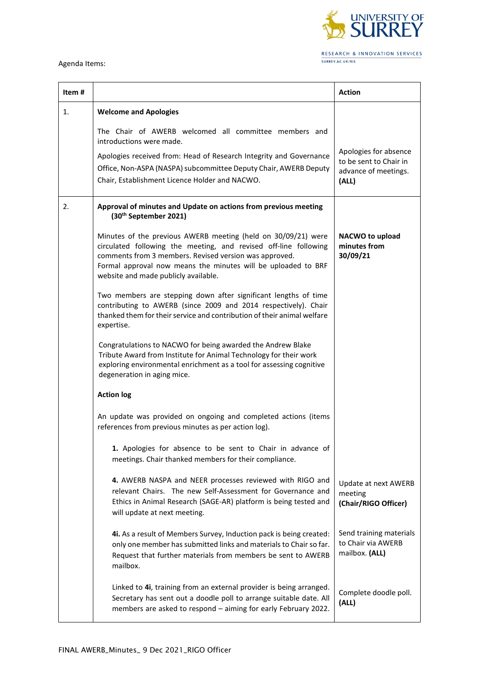

## Agenda Items:

| Item # |                                                                                                                                                                                                                                                                                                      | <b>Action</b>                                                                    |
|--------|------------------------------------------------------------------------------------------------------------------------------------------------------------------------------------------------------------------------------------------------------------------------------------------------------|----------------------------------------------------------------------------------|
| 1.     | <b>Welcome and Apologies</b>                                                                                                                                                                                                                                                                         |                                                                                  |
|        | The Chair of AWERB welcomed all committee members and<br>introductions were made.<br>Apologies received from: Head of Research Integrity and Governance<br>Office, Non-ASPA (NASPA) subcommittee Deputy Chair, AWERB Deputy<br>Chair, Establishment Licence Holder and NACWO.                        | Apologies for absence<br>to be sent to Chair in<br>advance of meetings.<br>(ALL) |
| 2.     | Approval of minutes and Update on actions from previous meeting<br>(30 <sup>th</sup> September 2021)                                                                                                                                                                                                 |                                                                                  |
|        | Minutes of the previous AWERB meeting (held on 30/09/21) were<br>circulated following the meeting, and revised off-line following<br>comments from 3 members. Revised version was approved.<br>Formal approval now means the minutes will be uploaded to BRF<br>website and made publicly available. | <b>NACWO to upload</b><br>minutes from<br>30/09/21                               |
|        | Two members are stepping down after significant lengths of time<br>contributing to AWERB (since 2009 and 2014 respectively). Chair<br>thanked them for their service and contribution of their animal welfare<br>expertise.                                                                          |                                                                                  |
|        | Congratulations to NACWO for being awarded the Andrew Blake<br>Tribute Award from Institute for Animal Technology for their work<br>exploring environmental enrichment as a tool for assessing cognitive<br>degeneration in aging mice.                                                              |                                                                                  |
|        | <b>Action log</b>                                                                                                                                                                                                                                                                                    |                                                                                  |
|        | An update was provided on ongoing and completed actions (items<br>references from previous minutes as per action log).                                                                                                                                                                               |                                                                                  |
|        | 1. Apologies for absence to be sent to Chair in advance of<br>meetings. Chair thanked members for their compliance.                                                                                                                                                                                  |                                                                                  |
|        | 4. AWERB NASPA and NEER processes reviewed with RIGO and<br>relevant Chairs. The new Self-Assessment for Governance and<br>Ethics in Animal Research (SAGE-AR) platform is being tested and<br>will update at next meeting.                                                                          | Update at next AWERB<br>meeting<br>(Chair/RIGO Officer)                          |
|        | 4i. As a result of Members Survey, Induction pack is being created:<br>only one member has submitted links and materials to Chair so far.<br>Request that further materials from members be sent to AWERB<br>mailbox.                                                                                | Send training materials<br>to Chair via AWERB<br>mailbox. (ALL)                  |
|        | Linked to 4i, training from an external provider is being arranged.<br>Secretary has sent out a doodle poll to arrange suitable date. All<br>members are asked to respond - aiming for early February 2022.                                                                                          | Complete doodle poll.<br>(ALL)                                                   |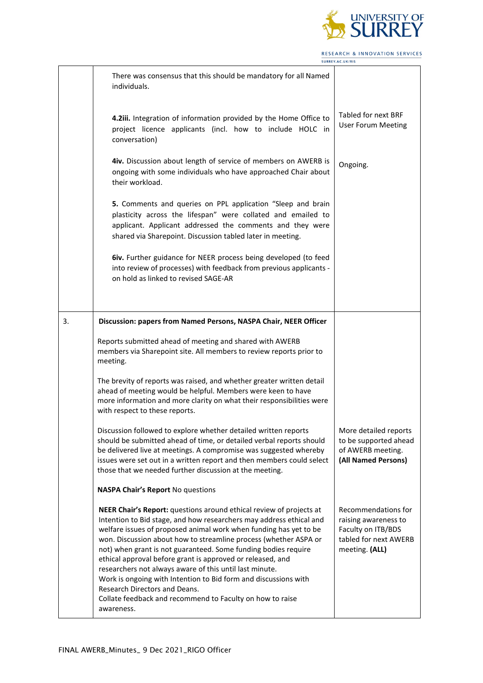

RESEARCH & INNOVATION SERVICES SURREY.AC.UK/RIS

|    | There was consensus that this should be mandatory for all Named<br>individuals.                                                                                                                                                                                                                                                                                                                                                                                                                                                                                                    |                                                                                                              |
|----|------------------------------------------------------------------------------------------------------------------------------------------------------------------------------------------------------------------------------------------------------------------------------------------------------------------------------------------------------------------------------------------------------------------------------------------------------------------------------------------------------------------------------------------------------------------------------------|--------------------------------------------------------------------------------------------------------------|
|    | 4.2iii. Integration of information provided by the Home Office to<br>project licence applicants (incl. how to include HOLC in<br>conversation)                                                                                                                                                                                                                                                                                                                                                                                                                                     | <b>Tabled for next BRF</b><br><b>User Forum Meeting</b>                                                      |
|    | 4iv. Discussion about length of service of members on AWERB is<br>ongoing with some individuals who have approached Chair about<br>their workload.                                                                                                                                                                                                                                                                                                                                                                                                                                 | Ongoing.                                                                                                     |
|    | 5. Comments and queries on PPL application "Sleep and brain<br>plasticity across the lifespan" were collated and emailed to<br>applicant. Applicant addressed the comments and they were<br>shared via Sharepoint. Discussion tabled later in meeting.                                                                                                                                                                                                                                                                                                                             |                                                                                                              |
|    | 6iv. Further guidance for NEER process being developed (to feed<br>into review of processes) with feedback from previous applicants -<br>on hold as linked to revised SAGE-AR                                                                                                                                                                                                                                                                                                                                                                                                      |                                                                                                              |
| 3. | Discussion: papers from Named Persons, NASPA Chair, NEER Officer                                                                                                                                                                                                                                                                                                                                                                                                                                                                                                                   |                                                                                                              |
|    | Reports submitted ahead of meeting and shared with AWERB<br>members via Sharepoint site. All members to review reports prior to<br>meeting.                                                                                                                                                                                                                                                                                                                                                                                                                                        |                                                                                                              |
|    | The brevity of reports was raised, and whether greater written detail<br>ahead of meeting would be helpful. Members were keen to have<br>more information and more clarity on what their responsibilities were<br>with respect to these reports.                                                                                                                                                                                                                                                                                                                                   |                                                                                                              |
|    | Discussion followed to explore whether detailed written reports<br>should be submitted ahead of time, or detailed verbal reports should<br>be delivered live at meetings. A compromise was suggested whereby<br>issues were set out in a written report and then members could select<br>those that we needed further discussion at the meeting.                                                                                                                                                                                                                                   | More detailed reports<br>to be supported ahead<br>of AWERB meeting.<br>(All Named Persons)                   |
|    | <b>NASPA Chair's Report No questions</b>                                                                                                                                                                                                                                                                                                                                                                                                                                                                                                                                           |                                                                                                              |
|    | NEER Chair's Report: questions around ethical review of projects at<br>Intention to Bid stage, and how researchers may address ethical and<br>welfare issues of proposed animal work when funding has yet to be<br>won. Discussion about how to streamline process (whether ASPA or<br>not) when grant is not guaranteed. Some funding bodies require<br>ethical approval before grant is approved or released, and<br>researchers not always aware of this until last minute.<br>Work is ongoing with Intention to Bid form and discussions with<br>Research Directors and Deans. | Recommendations for<br>raising awareness to<br>Faculty on ITB/BDS<br>tabled for next AWERB<br>meeting. (ALL) |
|    | Collate feedback and recommend to Faculty on how to raise<br>awareness.                                                                                                                                                                                                                                                                                                                                                                                                                                                                                                            |                                                                                                              |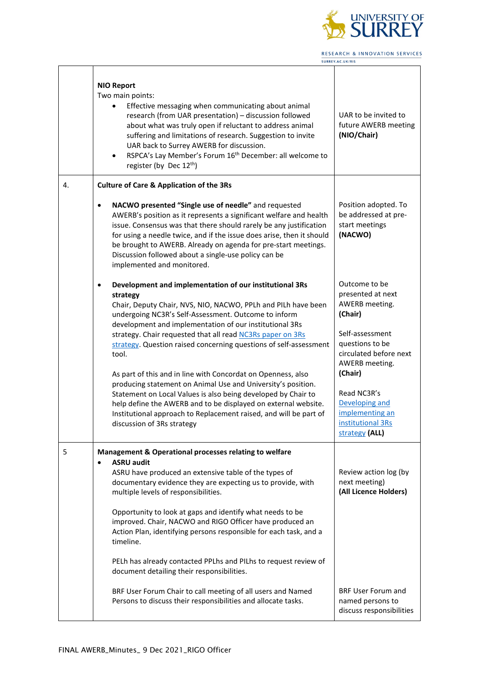

RESEARCH & INNOVATION SERVICES SURREY.AC.UK/RIS

 $\perp$ 

٦

|    | <b>NIO Report</b><br>Two main points:<br>Effective messaging when communicating about animal<br>research (from UAR presentation) - discussion followed<br>about what was truly open if reluctant to address animal<br>suffering and limitations of research. Suggestion to invite<br>UAR back to Surrey AWERB for discussion.<br>RSPCA's Lay Member's Forum 16 <sup>th</sup> December: all welcome to<br>$\bullet$<br>register (by Dec 12 <sup>th</sup> )                                                                                                                                                                                                                                                                                                                                                            | UAR to be invited to<br>future AWERB meeting<br>(NIO/Chair)                                                                                                                                                                                             |
|----|----------------------------------------------------------------------------------------------------------------------------------------------------------------------------------------------------------------------------------------------------------------------------------------------------------------------------------------------------------------------------------------------------------------------------------------------------------------------------------------------------------------------------------------------------------------------------------------------------------------------------------------------------------------------------------------------------------------------------------------------------------------------------------------------------------------------|---------------------------------------------------------------------------------------------------------------------------------------------------------------------------------------------------------------------------------------------------------|
| 4. | <b>Culture of Care &amp; Application of the 3Rs</b><br>NACWO presented "Single use of needle" and requested<br>$\bullet$<br>AWERB's position as it represents a significant welfare and health<br>issue. Consensus was that there should rarely be any justification<br>for using a needle twice, and if the issue does arise, then it should<br>be brought to AWERB. Already on agenda for pre-start meetings.<br>Discussion followed about a single-use policy can be                                                                                                                                                                                                                                                                                                                                              | Position adopted. To<br>be addressed at pre-<br>start meetings<br>(NACWO)                                                                                                                                                                               |
|    | implemented and monitored.<br>Development and implementation of our institutional 3Rs<br>$\bullet$<br>strategy<br>Chair, Deputy Chair, NVS, NIO, NACWO, PPLh and PILh have been<br>undergoing NC3R's Self-Assessment. Outcome to inform<br>development and implementation of our institutional 3Rs<br>strategy. Chair requested that all read NC3Rs paper on 3Rs<br>strategy. Question raised concerning questions of self-assessment<br>tool.<br>As part of this and in line with Concordat on Openness, also<br>producing statement on Animal Use and University's position.<br>Statement on Local Values is also being developed by Chair to<br>help define the AWERB and to be displayed on external website.<br>Institutional approach to Replacement raised, and will be part of<br>discussion of 3Rs strategy | Outcome to be<br>presented at next<br>AWERB meeting.<br>(Chair)<br>Self-assessment<br>questions to be<br>circulated before next<br>AWERB meeting.<br>(Chair)<br>Read NC3R's<br>Developing and<br>implementing an<br>institutional 3Rs<br>strategy (ALL) |
| 5  | Management & Operational processes relating to welfare<br><b>ASRU audit</b><br>ASRU have produced an extensive table of the types of<br>documentary evidence they are expecting us to provide, with<br>multiple levels of responsibilities.<br>Opportunity to look at gaps and identify what needs to be<br>improved. Chair, NACWO and RIGO Officer have produced an<br>Action Plan, identifying persons responsible for each task, and a<br>timeline.<br>PELh has already contacted PPLhs and PILhs to request review of<br>document detailing their responsibilities.<br>BRF User Forum Chair to call meeting of all users and Named<br>Persons to discuss their responsibilities and allocate tasks.                                                                                                              | Review action log (by<br>next meeting)<br>(All Licence Holders)<br><b>BRF User Forum and</b><br>named persons to<br>discuss responsibilities                                                                                                            |

Г

Τ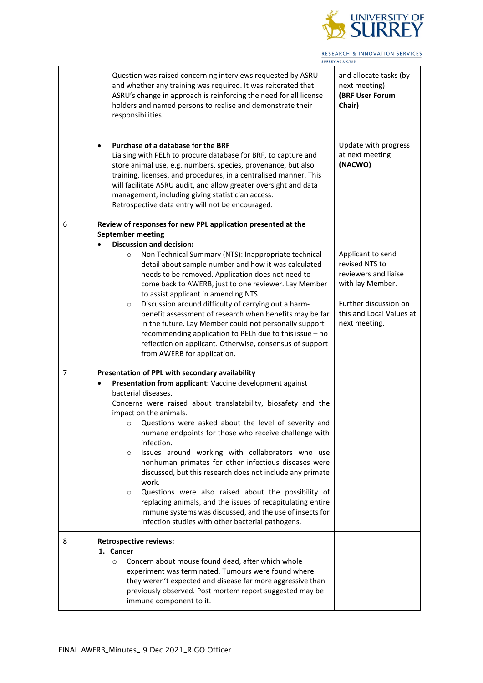

RESEARCH & INNOVATION SERVICES SURREY.AC.UK/RIS

|   | Question was raised concerning interviews requested by ASRU<br>and whether any training was required. It was reiterated that<br>ASRU's change in approach is reinforcing the need for all license<br>holders and named persons to realise and demonstrate their<br>responsibilities.<br>Purchase of a database for the BRF<br>$\bullet$<br>Liaising with PELh to procure database for BRF, to capture and<br>store animal use, e.g. numbers, species, provenance, but also<br>training, licenses, and procedures, in a centralised manner. This<br>will facilitate ASRU audit, and allow greater oversight and data<br>management, including giving statistician access.                                                                                                                                                           | and allocate tasks (by<br>next meeting)<br>(BRF User Forum<br>Chair)<br>Update with progress<br>at next meeting<br>(NACWO)                            |
|---|------------------------------------------------------------------------------------------------------------------------------------------------------------------------------------------------------------------------------------------------------------------------------------------------------------------------------------------------------------------------------------------------------------------------------------------------------------------------------------------------------------------------------------------------------------------------------------------------------------------------------------------------------------------------------------------------------------------------------------------------------------------------------------------------------------------------------------|-------------------------------------------------------------------------------------------------------------------------------------------------------|
|   | Retrospective data entry will not be encouraged.                                                                                                                                                                                                                                                                                                                                                                                                                                                                                                                                                                                                                                                                                                                                                                                   |                                                                                                                                                       |
| 6 | Review of responses for new PPL application presented at the<br><b>September meeting</b><br><b>Discussion and decision:</b><br>Non Technical Summary (NTS): Inappropriate technical<br>$\circ$<br>detail about sample number and how it was calculated<br>needs to be removed. Application does not need to<br>come back to AWERB, just to one reviewer. Lay Member<br>to assist applicant in amending NTS.<br>Discussion around difficulty of carrying out a harm-<br>$\circ$<br>benefit assessment of research when benefits may be far<br>in the future. Lay Member could not personally support<br>recommending application to PELh due to this issue - no<br>reflection on applicant. Otherwise, consensus of support<br>from AWERB for application.                                                                          | Applicant to send<br>revised NTS to<br>reviewers and liaise<br>with lay Member.<br>Further discussion on<br>this and Local Values at<br>next meeting. |
| 7 | Presentation of PPL with secondary availability<br>Presentation from applicant: Vaccine development against<br>$\bullet$<br>bacterial diseases.<br>Concerns were raised about translatability, biosafety and the<br>impact on the animals.<br>Questions were asked about the level of severity and<br>$\circ$<br>humane endpoints for those who receive challenge with<br>infection.<br>Issues around working with collaborators who use<br>$\circ$<br>nonhuman primates for other infectious diseases were<br>discussed, but this research does not include any primate<br>work.<br>Questions were also raised about the possibility of<br>$\circ$<br>replacing animals, and the issues of recapitulating entire<br>immune systems was discussed, and the use of insects for<br>infection studies with other bacterial pathogens. |                                                                                                                                                       |
| 8 | <b>Retrospective reviews:</b><br>1. Cancer<br>Concern about mouse found dead, after which whole<br>$\circ$<br>experiment was terminated. Tumours were found where<br>they weren't expected and disease far more aggressive than<br>previously observed. Post mortem report suggested may be<br>immune component to it.                                                                                                                                                                                                                                                                                                                                                                                                                                                                                                             |                                                                                                                                                       |